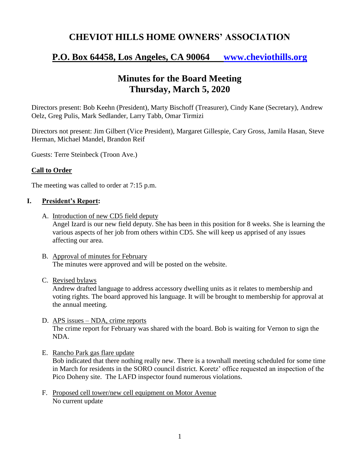# **CHEVIOT HILLS HOME OWNERS' ASSOCIATION**

# **P.O. Box 64458, Los Angeles, CA 90064 [www.cheviothills.org](http://www.cheviothills.org/)**

# **Minutes for the Board Meeting Thursday, March 5, 2020**

Directors present: Bob Keehn (President), Marty Bischoff (Treasurer), Cindy Kane (Secretary), Andrew Oelz, Greg Pulis, Mark Sedlander, Larry Tabb, Omar Tirmizi

Directors not present: Jim Gilbert (Vice President), Margaret Gillespie, Cary Gross, Jamila Hasan, Steve Herman, Michael Mandel, Brandon Reif

Guests: Terre Steinbeck (Troon Ave.)

### **Call to Order**

The meeting was called to order at 7:15 p.m.

#### **I. President's Report:**

A. Introduction of new CD5 field deputy

Angel Izard is our new field deputy. She has been in this position for 8 weeks. She is learning the various aspects of her job from others within CD5. She will keep us apprised of any issues affecting our area.

B. Approval of minutes for February The minutes were approved and will be posted on the website.

#### C. Revised bylaws

Andrew drafted language to address accessory dwelling units as it relates to membership and voting rights. The board approved his language. It will be brought to membership for approval at the annual meeting.

- D. APS issues NDA, crime reports The crime report for February was shared with the board. Bob is waiting for Vernon to sign the NDA.
- E. Rancho Park gas flare update Bob indicated that there nothing really new. There is a townhall meeting scheduled for some time in March for residents in the SORO council district. Koretz' office requested an inspection of the Pico Doheny site. The LAFD inspector found numerous violations.
- F. Proposed cell tower/new cell equipment on Motor Avenue No current update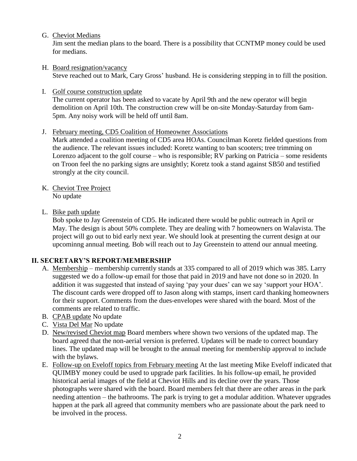G. Cheviot Medians

Jim sent the median plans to the board. There is a possibility that CCNTMP money could be used for medians.

- H. Board resignation/vacancy Steve reached out to Mark, Cary Gross' husband. He is considering stepping in to fill the position.
- I. Golf course construction update The current operator has been asked to vacate by April 9th and the new operator will begin demolition on April 10th. The construction crew will be on-site Monday-Saturday from 6am-5pm. Any noisy work will be held off until 8am.
- J. February meeting, CD5 Coalition of Homeowner Associations

Mark attended a coalition meeting of CD5 area HOAs. Councilman Koretz fielded questions from the audience. The relevant issues included: Koretz wanting to ban scooters; tree trimming on Lorenzo adjacent to the golf course – who is responsible; RV parking on Patricia – some residents on Troon feel the no parking signs are unsightly; Koretz took a stand against SB50 and testified strongly at the city council.

- K. Cheviot Tree Project No update
- L. Bike path update

Bob spoke to Jay Greenstein of CD5. He indicated there would be public outreach in April or May. The design is about 50% complete. They are dealing with 7 homeowners on Walavista. The project will go out to bid early next year. We should look at presenting the current design at our upcominng annual meeting. Bob will reach out to Jay Greenstein to attend our annual meeting.

### **II. SECRETARY'S REPORT/MEMBERSHIP**

- A. Membership membership currently stands at 335 compared to all of 2019 which was 385. Larry suggested we do a follow-up email for those that paid in 2019 and have not done so in 2020. In addition it was suggested that instead of saying 'pay your dues' can we say 'support your HOA'. The discount cards were dropped off to Jason along with stamps, insert card thanking homeowners for their support. Comments from the dues-envelopes were shared with the board. Most of the comments are related to traffic.
- B. CPAB update No update
- C. Vista Del Mar No update
- D. New/revised Cheviot map Board members where shown two versions of the updated map. The board agreed that the non-aerial version is preferred. Updates will be made to correct boundary lines. The updated map will be brought to the annual meeting for membership approval to include with the bylaws.
- E. Follow-up on Eveloff topics from February meeting At the last meeting Mike Eveloff indicated that QUIMBY money could be used to upgrade park facilities. In his follow-up email, he provided historical aerial images of the field at Cheviot Hills and its decline over the years. Those photographs were shared with the board. Board members felt that there are other areas in the park needing attention – the bathrooms. The park is trying to get a modular addition. Whatever upgrades happen at the park all agreed that community members who are passionate about the park need to be involved in the process.